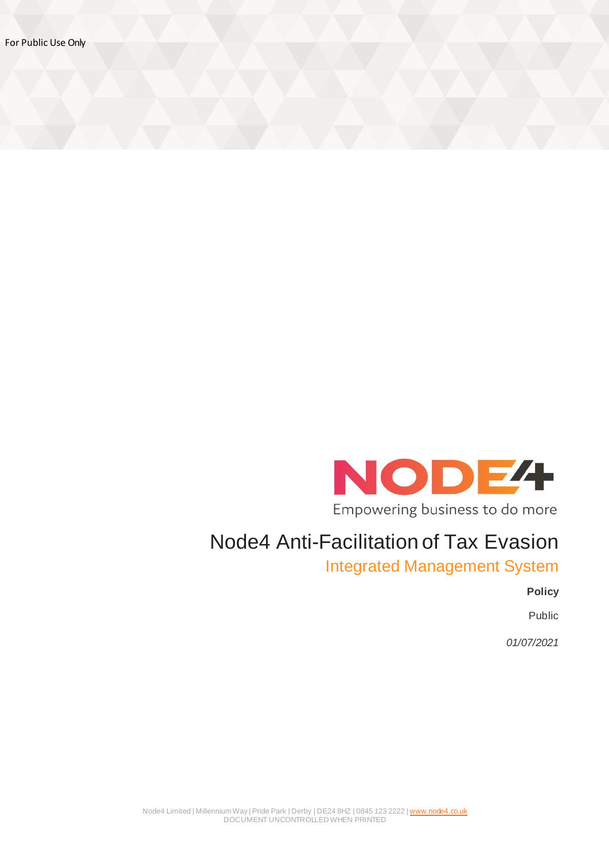

# Node4 Anti-Facilitation of Tax Evasion

Integrated Management System

**Policy**

Public

*01/07/2021*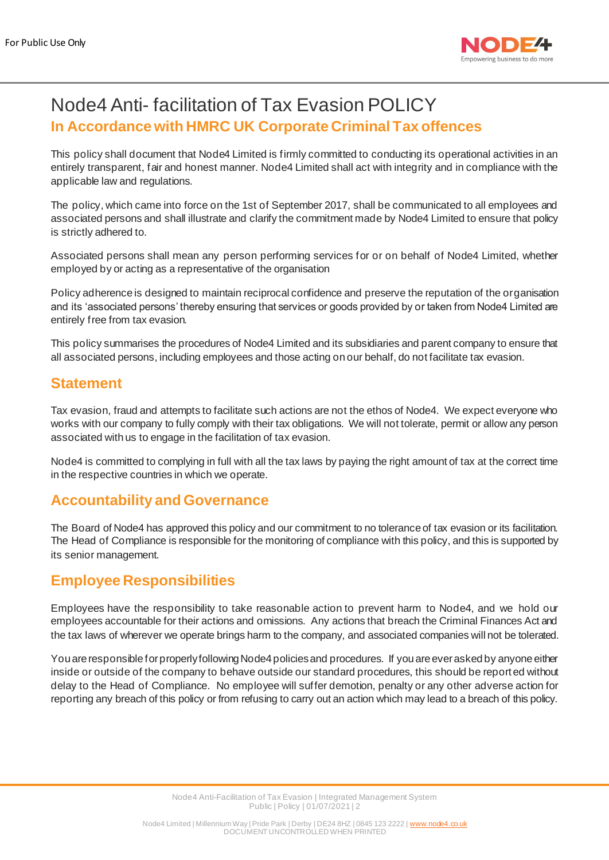

# Node4 Anti- facilitation of Tax Evasion POLICY **In Accordance with HMRC UK Corporate Criminal Tax offences**

This policy shall document that Node4 Limited is firmly committed to conducting its operational activities in an entirely transparent, fair and honest manner. Node4 Limited shall act with integrity and in compliance with the applicable law and regulations.

The policy, which came into force on the 1st of September 2017, shall be communicated to all employees and associated persons and shall illustrate and clarify the commitment made by Node4 Limited to ensure that policy is strictly adhered to.

Associated persons shall mean any person performing services for or on behalf of Node4 Limited, whether employed by or acting as a representative of the organisation

Policy adherence is designed to maintain reciprocal confidence and preserve the reputation of the organisation and its 'associated persons' thereby ensuring that services or goods provided by or taken from Node4 Limited are entirely free from tax evasion.

This policy summarises the procedures of Node4 Limited and its subsidiaries and parent company to ensure that all associated persons, including employees and those acting on our behalf, do not facilitate tax evasion.

#### **Statement**

Tax evasion, fraud and attempts to facilitate such actions are not the ethos of Node4. We expect everyone who works with our company to fully comply with their tax obligations. We will not tolerate, permit or allow any person associated with us to engage in the facilitation of tax evasion.

Node4 is committed to complying in full with all the tax laws by paying the right amount of tax at the correct time in the respective countries in which we operate.

#### **Accountability and Governance**

The Board of Node4 has approved this policy and our commitment to no tolerance of tax evasion or its facilitation. The Head of Compliance is responsible for the monitoring of compliance with this policy, and this is supported by its senior management.

# **Employee Responsibilities**

Employees have the responsibility to take reasonable action to prevent harm to Node4, and we hold our employees accountable for their actions and omissions. Any actions that breach the Criminal Finances Act and the tax laws of wherever we operate brings harm to the company, and associated companies will not be tolerated.

You are responsible for properly following Node4 policies and procedures. If you are ever asked by anyone either inside or outside of the company to behave outside our standard procedures, this should be reported without delay to the Head of Compliance. No employee will suffer demotion, penalty or any other adverse action for reporting any breach of this policy or from refusing to carry out an action which may lead to a breach of this policy.